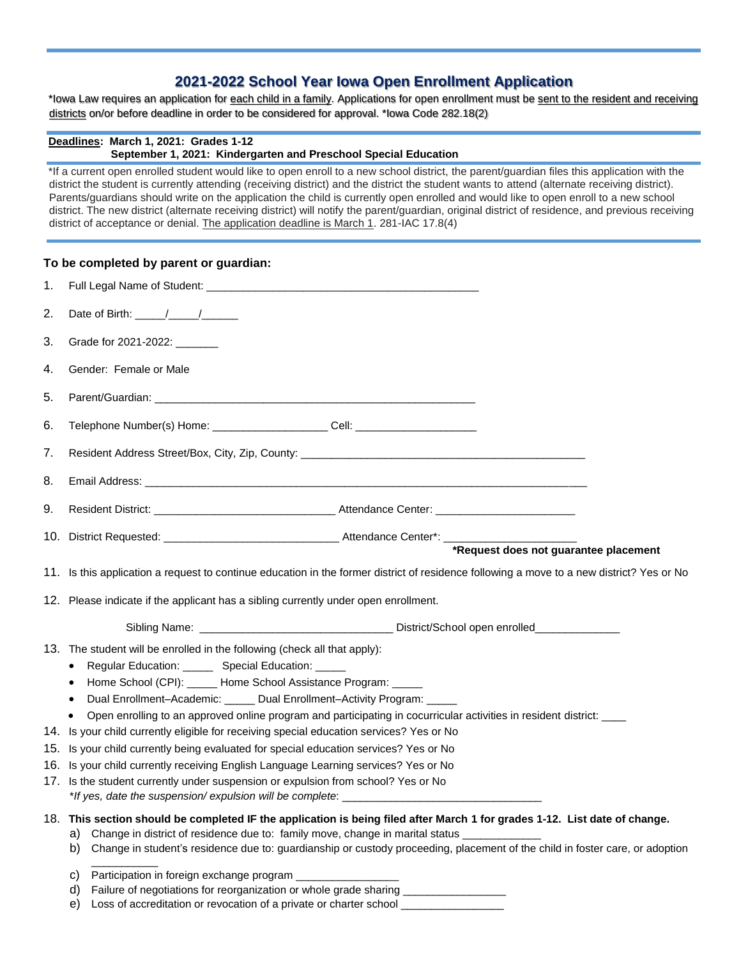## **2021-2022 School Year Iowa Open Enrollment Application**

\*Iowa Law requires an application for each child in a family. Applications for open enrollment must be sent to the resident and receiving districts on/or before deadline in order to be considered for approval. \*lowa Code 282.18(2)

#### **Deadlines: March 1, 2021: Grades 1-12 September 1, 2021: Kindergarten and Preschool Special Education**

\*If a current open enrolled student would like to open enroll to a new school district, the parent/guardian files this application with the district the student is currently attending (receiving district) and the district the student wants to attend (alternate receiving district). Parents/guardians should write on the application the child is currently open enrolled and would like to open enroll to a new school district. The new district (alternate receiving district) will notify the parent/guardian, original district of residence, and previous receiving district of acceptance or denial. The application deadline is March 1. 281-IAC 17.8(4)

# **To be completed by parent or guardian:** 1. Full Legal Name of Student: \_\_\_\_\_\_\_\_\_\_\_\_\_\_\_\_\_\_\_\_\_\_\_\_\_\_\_\_\_\_\_\_\_\_\_\_\_\_\_\_\_\_\_\_\_ 2. Date of Birth:  $\frac{1}{2}$  / 3. Grade for 2021-2022: 4. Gender: Female or Male 5. Parent/Guardian: 6. Telephone Number(s) Home: \_\_\_\_\_\_\_\_\_\_\_\_\_\_\_\_\_\_\_\_\_\_Cell: \_\_\_\_\_\_\_\_\_\_\_\_\_\_\_\_\_\_\_\_\_\_\_ 7. Resident Address Street/Box, City, Zip, County: \_\_\_\_\_\_\_\_\_\_\_\_\_\_\_\_\_\_\_\_\_\_\_\_\_\_\_\_\_ 8. Email Address: 9. Resident District:  $\blacksquare$ 10. District Requested: \_\_\_\_\_\_\_\_\_\_\_\_\_\_\_\_\_\_\_\_\_\_\_\_\_\_\_\_\_ Attendance Center\*: \_\_\_\_\_\_\_\_\_\_\_\_\_\_\_\_\_\_\_\_\_\_ **\*Request does not guarantee placement**  11. Is this application a request to continue education in the former district of residence following a move to a new district? Yes or No 12. Please indicate if the applicant has a sibling currently under open enrollment. Sibling Name: \_\_\_\_\_\_\_\_\_\_\_\_\_\_\_\_\_\_\_\_\_\_\_\_\_\_\_\_\_\_\_\_ District/School open enrolled\_\_\_\_\_\_\_\_\_\_\_\_\_\_ 13. The student will be enrolled in the following (check all that apply): • Regular Education: \_\_\_\_\_ Special Education: \_\_\_\_\_ • Home School (CPI): \_\_\_\_\_ Home School Assistance Program: \_\_\_\_ • Dual Enrollment–Academic: \_\_\_\_\_ Dual Enrollment–Activity Program: \_\_\_\_\_ • Open enrolling to an approved online program and participating in cocurricular activities in resident district: \_\_\_\_ 14. Is your child currently eligible for receiving special education services? Yes or No 15. Is your child currently being evaluated for special education services? Yes or No 16. Is your child currently receiving English Language Learning services? Yes or No 17. Is the student currently under suspension or expulsion from school? Yes or No \**If yes, date the suspension/ expulsion will be complete*: \_\_\_\_\_\_\_\_\_\_\_\_\_\_\_\_\_\_\_\_\_\_\_\_\_\_\_\_\_\_\_\_\_ 18. **This section should be completed IF the application is being filed after March 1 for grades 1-12. List date of change.**  a) Change in district of residence due to: family move, change in marital status

b) Change in student's residence due to: guardianship or custody proceeding, placement of the child in foster care, or adoption

c) Participation in foreign exchange program

\_\_\_\_\_\_\_\_\_\_\_

d) Failure of negotiations for reorganization or whole grade sharing

e) Loss of accreditation or revocation of a private or charter school